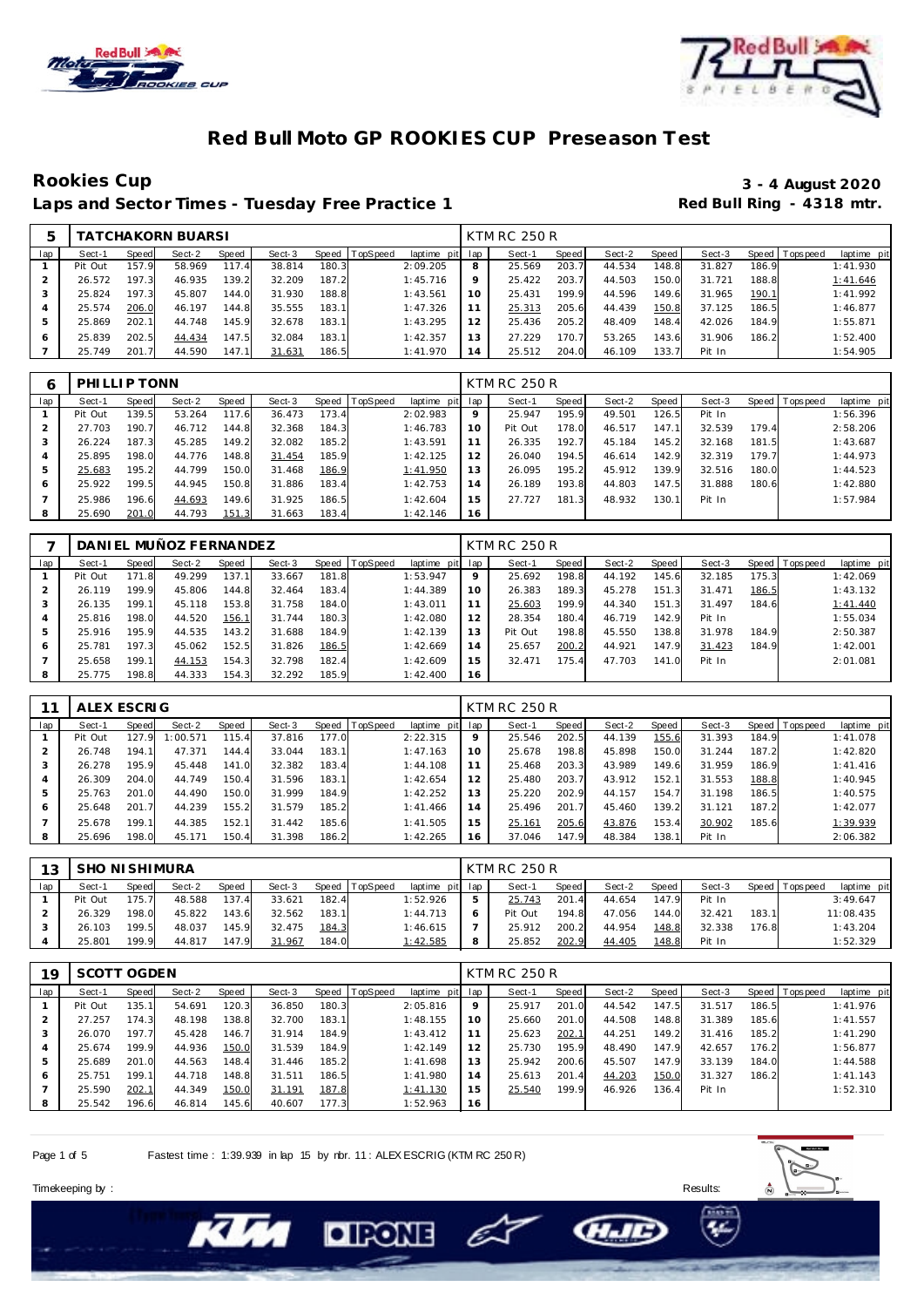



## **Rookies Cup 3 - 4 August 2020** Laps and Sector Times - Tuesday Free Practice 1

| 5   |         |       | TATCHAKORN BUARSI |       |        |       |          |                 |    | KTM RC 250 R |       |        |       |        |       |                |             |
|-----|---------|-------|-------------------|-------|--------|-------|----------|-----------------|----|--------------|-------|--------|-------|--------|-------|----------------|-------------|
| lap | Sect-1  | Speed | Sect-2            | Speed | Sect-3 | Speed | TopSpeed | laptime pit lap |    | Sect-1       | Speed | Sect-2 | Speed | Sect-3 |       | Speed Topspeed | laptime pit |
|     | Pit Out | 157.9 | 58.969            | 117.4 | 38.814 | 180.3 |          | 2:09.205        | 8  | 25.569       | 203.7 | 44.534 | 148.8 | 31.827 | 186.9 |                | 1:41.930    |
|     | 26.572  | 197.3 | 46.935            | 139.2 | 32.209 | 187.2 |          | 1:45.716        | 9  | 25.422       | 203.7 | 44.503 | 150.0 | 31.721 | 188.8 |                | 1:41.646    |
|     | 25.824  | 197.3 | 45.807            | 144.0 | 31.930 | 188.8 |          | 1:43.561        | 10 | 25.431       | 199.9 | 44.596 | 149.6 | 31.965 | 190.1 |                | 1:41.992    |
|     | 25.574  | 206.0 | 46.197            | 144.8 | 35.555 | 183.1 |          | 1:47.326        | 11 | 25.313       | 205.6 | 44.439 | 150.8 | 37.125 | 186.5 |                | 1:46.877    |
|     | 25.869  | 202.1 | 44.748            | 145.9 | 32.678 | 183.1 |          | 1:43.295        | 12 | 25.436       | 205.2 | 48.409 | 148.4 | 42.026 | 184.9 |                | 1:55.871    |
| 6   | 25.839  | 202.5 | 44.434            | 147.5 | 32.084 | 183.1 |          | 1:42.357        | 13 | 27.229       | 170.7 | 53.265 | 143.6 | 31.906 | 186.2 |                | 1:52.400    |
|     | 25.749  | 201.7 | 44.590            | 147.1 | 31.631 | 186.5 |          | 1:41.970        | 14 | 25.512       | 204.0 | 46.109 | 133.7 | Pit In |       |                | 1:54.905    |

| 6   | PHILLIP TONN |       |        |       |        |       |                |                 |    | <b>KTM RC 250 R</b> |       |        |         |        |       |                |             |
|-----|--------------|-------|--------|-------|--------|-------|----------------|-----------------|----|---------------------|-------|--------|---------|--------|-------|----------------|-------------|
| lap | Sect-1       | Speed | Sect-2 | Speed | Sect-3 |       | Speed TopSpeed | laptime pit lap |    | Sect-1              | Speed | Sect-2 | Speed ! | Sect-3 |       | Speed Topspeed | laptime pit |
|     | Pit Out      | 139.5 | 53.264 | 117.6 | 36.473 | 173.4 |                | 2:02.983        | 9  | 25.947              | 195.9 | 49.501 | 126.5   | Pit In |       |                | 1:56.396    |
|     | 27.703       | 190.7 | 46.712 | 144.8 | 32.368 | 184.3 |                | 1:46.783        | 10 | Pit Out             | 178.0 | 46.517 | 147.1   | 32.539 | 179.4 |                | 2:58.206    |
| 3   | 26.224       | 187.3 | 45.285 | 149.2 | 32.082 | 185.2 |                | 1:43.591        |    | 26.335              | 192.7 | 45.184 | 145.2   | 32.168 | 181.5 |                | 1:43.687    |
| 4   | 25.895       | 198.0 | 44.776 | 148.8 | 31.454 | 185.9 |                | 1:42.125        | 12 | 26.040              | 194.5 | 46.614 | 142.9   | 32.319 | 179.7 |                | 1:44.973    |
| 5   | 25.683       | 195.2 | 44.799 | 150.0 | 31.468 | 186.9 |                | 1:41.950        | 13 | 26.095              | 195.2 | 45.912 | 139.9   | 32.516 | 180.0 |                | 1:44.523    |
| 6   | 25.922       | 199.5 | 44.945 | 150.8 | 31.886 | 183.4 |                | 1:42.753        | 14 | 26.189              | 193.8 | 44.803 | 147.5   | 31.888 | 180.6 |                | 1:42.880    |
|     | 25.986       | 196.6 | 44.693 | 149.6 | 31.925 | 186.5 |                | 1:42.604        | 15 | 27.727              | 181.3 | 48.932 | 130.1   | Pit In |       |                | 1:57.984    |
| 8   | 25.690       | 201.0 | 44.793 | 151.3 | 31.663 | 183.4 |                | 1:42.146        | 16 |                     |       |        |         |        |       |                |             |

|     |         |       | DANIEL MUÑOZ FERNANDEZ |       |        |       |          |                 |    | <b>KTM RC 250 R</b> |       |        |       |        |       |                 |             |
|-----|---------|-------|------------------------|-------|--------|-------|----------|-----------------|----|---------------------|-------|--------|-------|--------|-------|-----------------|-------------|
| lap | Sect-1  | Speed | Sect-2                 | Speed | Sect-3 | Speed | TopSpeed | laptime pit lap |    | Sect-1              | Speed | Sect-2 | Speed | Sect-3 |       | Speed Tops peed | laptime pit |
|     | Pit Out | 171.8 | 49.299                 | 137.1 | 33.667 | 181.8 |          | 1:53.947        | 9  | 25.692              | 198.8 | 44.192 | 145.6 | 32.185 | 175.3 |                 | 1:42.069    |
|     | 26.119  | 199.9 | 45.806                 | 144.8 | 32.464 | 183.4 |          | 1:44.389        | 10 | 26.383              | 189.3 | 45.278 | 151.3 | 31.471 | 186.5 |                 | 1:43.132    |
| 3   | 26.135  | 199.1 | 45.118                 | 153.8 | 31.758 | 184.0 |          | 1:43.011        |    | 25.603              | 199.9 | 44.340 | 151.3 | 31.497 | 184.6 |                 | 1:41.440    |
| 4   | 25.816  | 198.0 | 44.520                 | 156.1 | 31.744 | 180.3 |          | 1:42.080        | 12 | 28.354              | 180.4 | 46.719 | 142.9 | Pit In |       |                 | 1:55.034    |
| 5   | 25.916  | 195.9 | 44.535                 | 143.2 | 31.688 | 184.9 |          | 1:42.139        | 13 | Pit Out             | 198.8 | 45.550 | 138.8 | 31.978 | 184.9 |                 | 2:50.387    |
| 6   | 25.781  | 197.3 | 45.062                 | 152.5 | 31.826 | 186.5 |          | 1:42.669        | 14 | 25.657              | 200.2 | 44.921 | 147.9 | 31.423 | 184.9 |                 | 1:42.001    |
|     | 25.658  | 199.1 | 44.153                 | 154.3 | 32.798 | 182.4 |          | 1:42.609        | 15 | 32.471              | 175.4 | 47.703 | 141.0 | Pit In |       |                 | 2:01.081    |
| 8   | 25.775  | 198.8 | 44.333                 | 154.3 | 32.292 | 185.9 |          | 1:42.400        | 16 |                     |       |        |       |        |       |                 |             |

|     | ALEX ESCRIG |       |          |       |        |       |          |             |                | <b>KTM RC 250 R</b> |       |        |       |        |       |                 |             |
|-----|-------------|-------|----------|-------|--------|-------|----------|-------------|----------------|---------------------|-------|--------|-------|--------|-------|-----------------|-------------|
| lap | Sect-1      | Speed | Sect-2   | Speed | Sect-3 | Speed | TopSpeed | laptime pit | lap            | Sect-1              | Speed | Sect-2 | Speed | Sect-3 |       | Speed Tops peed | laptime pit |
|     | Pit Out     | 127.9 | 1:00.571 | 115.4 | 37.816 | 177.0 |          | 2:22.315    | 9              | 25.546              | 202.5 | 44.139 | 155.6 | 31.393 | 184.9 |                 | 1:41.078    |
|     | 26.748      | 194.1 | 47.371   | 144.4 | 33.044 | 183.1 |          | 1:47.163    | 10             | 25.678              | 198.8 | 45.898 | 150.0 | 31.244 | 187.2 |                 | 1:42.820    |
|     | 26.278      | 195.9 | 45.448   | 141.0 | 32.382 | 183.4 |          | 1:44.108    | 11             | 25.468              | 203.3 | 43.989 | 149.6 | 31.959 | 186.9 |                 | 1:41.416    |
| 4   | 26.309      | 204.0 | 44.749   | 150.4 | 31.596 | 183.1 |          | 1:42.654    | 12             | 25.480              | 203.7 | 43.912 | 152.1 | 31.553 | 188.8 |                 | 1:40.945    |
| 5   | 25.763      | 201.0 | 44.490   | 150.0 | 31.999 | 184.9 |          | 1:42.252    | 13             | 25.220              | 202.9 | 44.157 | 154.7 | 31.198 | 186.5 |                 | 1:40.575    |
| 6   | 25.648      | 201.7 | 44.239   | 155.2 | 31.579 | 185.2 |          | 1:41.466    | $\overline{4}$ | 25.496              | 201.7 | 45.460 | 139.2 | 31.121 | 187.2 |                 | 1:42.077    |
|     | 25.678      | 199.1 | 44.385   | 152.1 | 31.442 | 185.6 |          | 1:41.505    | 15             | 25.161              | 205.6 | 43.876 | 153.4 | 30.902 | 185.6 |                 | 1:39.939    |
| 8   | 25.696      | 198.0 | 45.171   | 150.4 | 31.398 | 186.2 |          | 1:42.265    | 16             | 37.046              | 147.9 | 48.384 | 138.1 | Pit In |       |                 | 2:06.382    |

| 13  | SHO NI SHIMURA |       |        |              |        |       |                  |                 |   | KTM RC 250 R |       |        |       |        |       |                 |             |
|-----|----------------|-------|--------|--------------|--------|-------|------------------|-----------------|---|--------------|-------|--------|-------|--------|-------|-----------------|-------------|
| lap | Sect-1         | Speed | Sect-2 | <b>Speed</b> | Sect-3 |       | Speed   TopSpeed | laptime pit lap |   | Sect-1       | Speed | Sect-2 | Speed | Sect-3 |       | Speed Tops peed | laptime pit |
|     | Pit Out        | 175.7 | 48.588 | 137.4        | 33.621 | 182.4 |                  | 1:52.926        |   | 25.743       | 201.4 | 44.654 | 147.9 | Pit In |       |                 | 3:49.647    |
|     | 26.329         | 198.0 | 45.822 | 143.6        | 32.562 | 183.1 |                  | 1:44.713        |   | Pit Out      | 194.8 | 47.056 | 144.0 | 32.421 | 183.1 |                 | 11:08.435   |
|     | 26.103         | 199.5 | 48.037 | 145.9        | 32.475 | 184.3 |                  | 1:46.615        |   | 25.912       | 200.2 | 44.954 | 148.8 | 32.338 | 176.8 |                 | 1:43.204    |
|     | 25.801         | 199.9 | 44.817 | 147.9        | 31.967 | 184.0 |                  | 1:42.585        | 8 | 25.852       | 202.9 | 44.405 | 148.8 | Pit In |       |                 | 1:52.329    |

| 19  | SCOTT OGDEN |       |        |       |        |       |          |                 |    | <b>KTM RC 250 R</b> |       |        |       |        |       |                |             |
|-----|-------------|-------|--------|-------|--------|-------|----------|-----------------|----|---------------------|-------|--------|-------|--------|-------|----------------|-------------|
| lap | Sect-1      | Speed | Sect-2 | Speed | Sect-3 | Speed | TopSpeed | laptime pit lap |    | Sect-1              | Speed | Sect-2 | Speed | Sect-3 |       | Speed Topspeed | laptime pit |
|     | Pit Out     | 135.1 | 54.691 | 120.3 | 36.850 | 180.3 |          | 2:05.816        | 9  | 25.917              | 201.0 | 44.542 | 147.5 | 31.517 | 186.5 |                | 1:41.976    |
| ∠   | 27.257      | 174.3 | 48.198 | 138.8 | 32.700 | 183.1 |          | 1:48.155        | 10 | 25.660              | 201.0 | 44.508 | 148.8 | 31.389 | 185.6 |                | 1:41.557    |
| 3   | 26.070      | 197.7 | 45.428 | 146.7 | 31.914 | 184.9 |          | 1:43.412        |    | 25.623              | 202.1 | 44.251 | 149.2 | 31.416 | 185.2 |                | 1:41.290    |
| 4   | 25.674      | 199.9 | 44.936 | 150.0 | 31.539 | 184.9 |          | 1:42.149        | 12 | 25.730              | 195.9 | 48.490 | 147.9 | 42.657 | 176.2 |                | 1:56.877    |
| 5   | 25.689      | 201.0 | 44.563 | 148.4 | 31.446 | 185.2 |          | 1:41.698        | 13 | 25.942              | 200.6 | 45.507 | 147.9 | 33.139 | 184.0 |                | 1:44.588    |
| 6   | 25.751      | 199.1 | 44.718 | 148.8 | 31.511 | 186.5 |          | 1:41.980        | 14 | 25.613              | 201.4 | 44.203 | 150.0 | 31.327 | 186.2 |                | 1:41.143    |
|     | 25.590      | 202.1 | 44.349 | 150.0 | 31.191 | 187.8 |          | 1:41.130        | 15 | 25.540              | 199.9 | 46.926 | 136.4 | Pit In |       |                | 1:52.310    |
|     | 25.542      | 196.6 | 46.814 | 145.6 | 40.607 | 177.3 |          | 1:52.963        | 16 |                     |       |        |       |        |       |                |             |

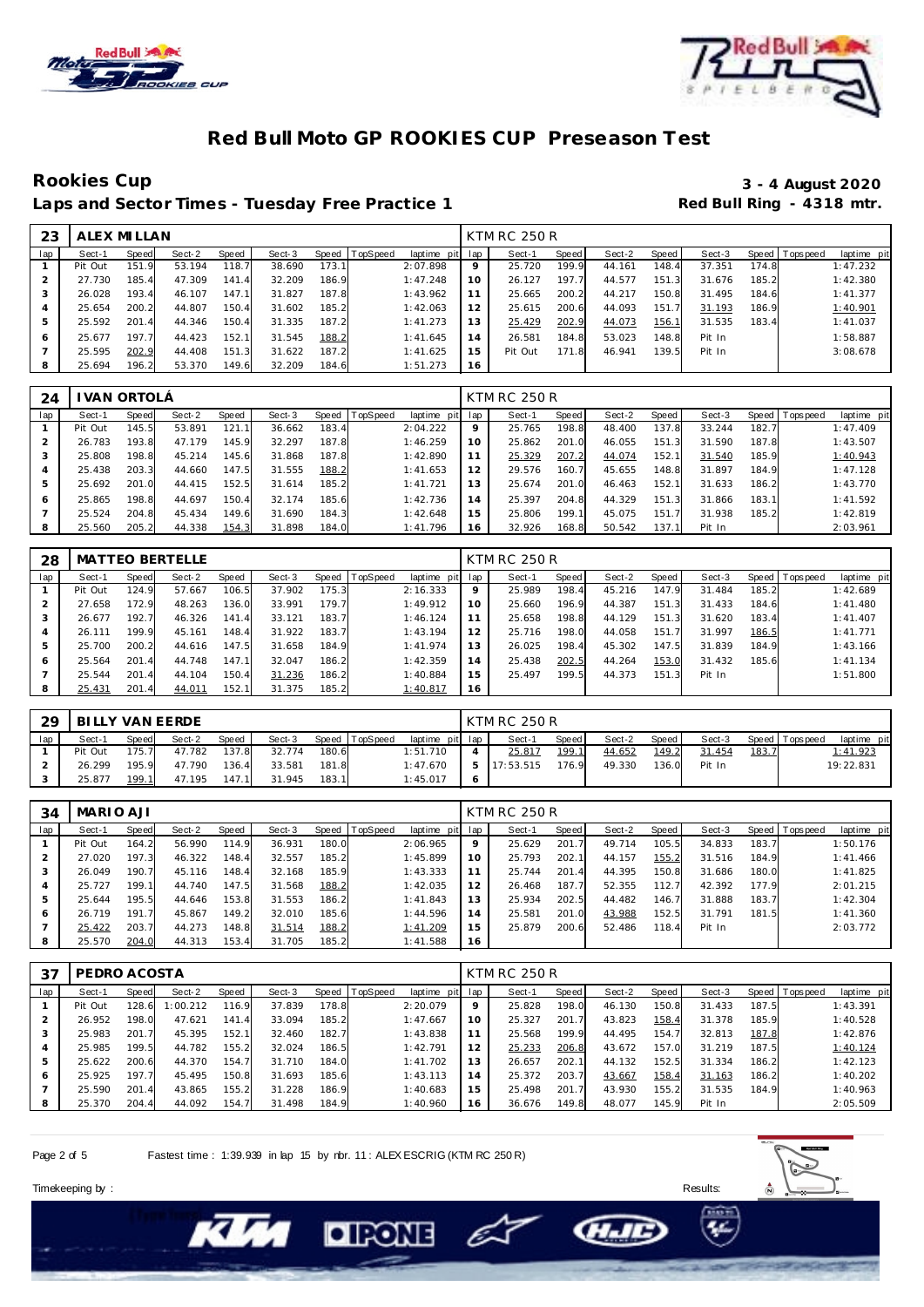



## **Rookies Cup 3 - 4 August 2020** Laps and Sector Times - Tuesday Free Practice 1

| 23  | ALEX MI LLAN |       |        |       |        |       |          |                 |    | <b>KTM RC 250 R</b> |       |        |       |        |       |                |             |
|-----|--------------|-------|--------|-------|--------|-------|----------|-----------------|----|---------------------|-------|--------|-------|--------|-------|----------------|-------------|
| lap | Sect-1       | Speed | Sect-2 | Speed | Sect-3 | Speed | TopSpeed | laptime pit lap |    | Sect-1              | Speed | Sect-2 | Speed | Sect-3 |       | Speed Topspeed | laptime pit |
|     | Pit Out      | 151.9 | 53.194 | 118.7 | 38.690 | 173.1 |          | 2:07.898        | 9  | 25.720              | 199.9 | 44.161 | 148.4 | 37.351 | 174.8 |                | 1:47.232    |
|     | 27.730       | 185.4 | 47.309 | 141.4 | 32.209 | 186.9 |          | 1:47.248        | 10 | 26.127              | 197.7 | 44.577 | 151.3 | 31.676 | 185.2 |                | 1:42.380    |
|     | 26.028       | 193.4 | 46.107 | 147.1 | 31.827 | 187.8 |          | 1:43.962        |    | 25.665              | 200.2 | 44.217 | 150.8 | 31.495 | 184.6 |                | 1:41.377    |
|     | 25.654       | 200.2 | 44.807 | 150.4 | 31.602 | 185.2 |          | 1:42.063        | 12 | 25.615              | 200.6 | 44.093 | 151.7 | 31.193 | 186.9 |                | 1:40.901    |
|     | 25.592       | 201.4 | 44.346 | 150.4 | 31.335 | 187.2 |          | 1:41.273        | 13 | 25.429              | 202.9 | 44.073 | 156.1 | 31.535 | 183.4 |                | 1:41.037    |
| 6   | 25.677       | 197.7 | 44.423 | 152.1 | 31.545 | 188.2 |          | 1:41.645        | 14 | 26.581              | 184.8 | 53.023 | 148.8 | Pit In |       |                | 1:58.887    |
|     | 25.595       | 202.9 | 44.408 | 151.3 | 31.622 | 187.2 |          | 1:41.625        | 15 | Pit Out             | 171.8 | 46.941 | 139.5 | Pit In |       |                | 3:08.678    |
|     | 25.694       | 196.2 | 53.370 | 149.6 | 32.209 | 184.6 |          | 1:51.273        | 16 |                     |       |        |       |        |       |                |             |

| 24  |         | I VAN ORTOLÁ |        |       |        |       |          |                 |         | <b>KTM RC 250 R</b> |       |        |       |        |       |                |             |
|-----|---------|--------------|--------|-------|--------|-------|----------|-----------------|---------|---------------------|-------|--------|-------|--------|-------|----------------|-------------|
| lap | Sect-1  | Speed        | Sect-2 | Speed | Sect-3 | Speed | TopSpeed | laptime pit lap |         | Sect-1              | Speed | Sect-2 | Speed | Sect-3 |       | Speed Topspeed | laptime pit |
|     | Pit Out | 145.5        | 53.891 | 121   | 36.662 | 183.4 |          | 2:04.222        | $\circ$ | 25.765              | 198.8 | 48.400 | 137.8 | 33.244 | 182.7 |                | 1:47.409    |
|     | 26.783  | 193.8        | 47.179 | 145.9 | 32.297 | 187.8 |          | 1:46.259        | 10      | 25.862              | 201.0 | 46.055 | 151.3 | 31.590 | 187.8 |                | 1:43.507    |
|     | 25,808  | 198.8        | 45.214 | 145.6 | 31.868 | 187.8 |          | 1:42.890        |         | 25.329              | 207.2 | 44.074 | 152.1 | 31.540 | 185.9 |                | 1:40.943    |
| 4   | 25.438  | 203.3        | 44.660 | 147.5 | 31.555 | 188.2 |          | 1:41.653        | 12      | 29.576              | 160.7 | 45.655 | 148.8 | 31.897 | 184.9 |                | 1:47.128    |
| 5   | 25.692  | 201.0        | 44.415 | 152.5 | 31.614 | 185.2 |          | 1:41.721        | 13      | 25.674              | 201.0 | 46.463 | 152.1 | 31.633 | 186.2 |                | 1:43.770    |
| 6   | 25.865  | 198.8        | 44.697 | 150.4 | 32.174 | 185.6 |          | 1:42.736        | 14      | 25.397              | 204.8 | 44.329 | 151.3 | 31.866 | 183.1 |                | 1:41.592    |
|     | 25.524  | 204.8        | 45.434 | 149.6 | 31.690 | 184.3 |          | 1:42.648        | 15      | 25.806              | 199.1 | 45.075 | 151.7 | 31.938 | 185.2 |                | 1:42.819    |
| 8   | 25.560  | 205.2        | 44.338 | 154.3 | 31.898 | 184.0 |          | 1:41.796        | 16      | 32.926              | 168.8 | 50.542 | 137.1 | Pit In |       |                | 2:03.961    |

| 28  |         |       | <b>MATTEO BERTELLE</b> |       |        |       |                |                 |    | <b>KTM RC 250 R</b> |       |        |       |        |       |                   |             |
|-----|---------|-------|------------------------|-------|--------|-------|----------------|-----------------|----|---------------------|-------|--------|-------|--------|-------|-------------------|-------------|
| lap | Sect-1  | Speed | Sect-2                 | Speed | Sect-3 |       | Speed TopSpeed | laptime pit lap |    | Sect-1              | Speed | Sect-2 | Speed | Sect-3 |       | Speed   Tops peed | laptime pit |
|     | Pit Out | 124.9 | 57.667                 | 106.5 | 37.902 | 175.3 |                | 2:16.333        | 9  | 25.989              | 198.4 | 45.216 | 147.9 | 31.484 | 185.2 |                   | 1:42.689    |
|     | 27.658  | 172.9 | 48.263                 | 136.0 | 33.991 | 179.7 |                | 1:49.912        | 10 | 25.660              | 196.9 | 44.387 | 151.3 | 31.433 | 184.6 |                   | 1:41.480    |
|     | 26.677  | 192.7 | 46.326                 | 141.4 | 33.121 | 183.7 |                | 1:46.124        | 11 | 25.658              | 198.8 | 44.129 | 151   | 31.620 | 183.4 |                   | 1: 41.407   |
|     | 26.111  | 199.9 | 45.161                 | 148.4 | 31.922 | 183.7 |                | 1:43.194        | 12 | 25.716              | 198.0 | 44.058 | 151   | 31.997 | 186.5 |                   | 1:41.771    |
|     | 25.700  | 200.2 | 44.616                 | 147.5 | 31.658 | 184.9 |                | 1:41.974        | 13 | 26.025              | 198.4 | 45.302 | 147.5 | 31.839 | 184.9 |                   | 1:43.166    |
| 6   | 25.564  | 201.4 | 44.748                 | 147.1 | 32.047 | 186.2 |                | 1:42.359        | 14 | 25.438              | 202.5 | 44.264 | 153.0 | 31.432 | 185.6 |                   | 1:41.134    |
|     | 25.544  | 201.4 | 44.104                 | 150.4 | 31.236 | 186.2 |                | 1:40.884        | 15 | 25.497              | 199.5 | 44.373 | 151   | Pit In |       |                   | 1:51.800    |
|     | 25.431  | 201.4 | 44.011                 | 152.1 | 31.375 | 185.2 |                | 1:40.817        | 16 |                     |       |        |       |        |       |                   |             |

| 29  | BI LLY VAN EERDE |              |        |       |        |       |                |                 | <b>KTM RC 250 R</b> |       |        |       |        |       |                 |             |
|-----|------------------|--------------|--------|-------|--------|-------|----------------|-----------------|---------------------|-------|--------|-------|--------|-------|-----------------|-------------|
| lap | Sect-1           | <b>Speed</b> | Sect-2 | Speed | Sect-3 |       | Speed TopSpeed | laptime pit lap | Sect-1              | Speed | Sect-2 | Speed | Sect-3 |       | Speed Tops peed | laptime pit |
|     | Pit Out          | 175.7        | 47.782 | 137.8 | 32.774 | 180.6 |                | 1:51.710        | 25.817              | 199.1 | 44.652 | 149.2 | 31.454 | 183.7 |                 | 1:41.923    |
|     | 26.299           | 195.9        | 47.790 | 136.4 | 33.581 | 181.8 |                | 1:47.670        | 7:53.515            | 176.9 | 49.330 | 136.0 | Pit In |       |                 | 19:22.831   |
|     | 25.877           | 199.1        | 47.195 | 147.1 | 31.945 | 183.1 |                | 1:45.017        |                     |       |        |       |        |       |                 |             |

| 34  | MARIO AJI |       |        |       |        |       |          |             |     | KTM RC 250 R |       |        |       |        |       |                 |             |
|-----|-----------|-------|--------|-------|--------|-------|----------|-------------|-----|--------------|-------|--------|-------|--------|-------|-----------------|-------------|
| lap | Sect-1    | Speed | Sect-2 | Speed | Sect-3 | Speed | TopSpeed | laptime pit | lap | Sect-1       | Speed | Sect-2 | Speed | Sect-3 |       | Speed Tops peed | laptime pit |
|     | Pit Out   | 164.2 | 56.990 | 114.9 | 36.931 | 180.0 |          | 2:06.965    | 9   | 25.629       | 201.7 | 49.714 | 105.5 | 34.833 | 183.7 |                 | 1:50.176    |
|     | 27.020    | 197.3 | 46.322 | 148.4 | 32.557 | 185.2 |          | 1:45.899    | 10  | 25.793       | 202.1 | 44.157 | 155.2 | 31.516 | 184.9 |                 | 1:41.466    |
|     | 26.049    | 190.7 | 45.116 | 148.4 | 32.168 | 185.9 |          | 1:43.333    |     | 25.744       | 201.4 | 44.395 | 150.8 | 31.686 | 180.0 |                 | 1:41.825    |
|     | 25.727    | 199.1 | 44.740 | 147.5 | 31.568 | 188.2 |          | 1:42.035    | 12  | 26.468       | 187.7 | 52.355 | 112.7 | 42.392 | 177.9 |                 | 2:01.215    |
|     | 25.644    | 195.5 | 44.646 | 153.8 | 31.553 | 186.2 |          | 1:41.843    | 13  | 25.934       | 202.5 | 44.482 | 146.7 | 31.888 | 183.7 |                 | 1:42.304    |
| 6   | 26.719    | 191.7 | 45.867 | 149.2 | 32.010 | 185.6 |          | 1:44.596    | 14  | 25.581       | 201.0 | 43.988 | 152.5 | 31.791 | 181.5 |                 | 1:41.360    |
|     | 25.422    | 203.7 | 44.273 | 148.8 | 31.514 | 188.2 |          | 1:41.209    | 15  | 25.879       | 200.6 | 52.486 | 118.4 | Pit In |       |                 | 2:03.772    |
|     | 25.570    | 204.0 | 44.313 | 153.4 | 31.705 | 185.2 |          | 1:41.588    | 16  |              |       |        |       |        |       |                 |             |

| 37  | PEDRO ACOSTA |       |          |       |        |       |                |                 |    | <b>KTM RC 250 R</b> |       |        |       |        |       |                 |             |
|-----|--------------|-------|----------|-------|--------|-------|----------------|-----------------|----|---------------------|-------|--------|-------|--------|-------|-----------------|-------------|
| lap | Sect-1       | Speed | Sect-2   | Speed | Sect-3 |       | Speed TopSpeed | laptime pit lap |    | Sect-1              | Speed | Sect-2 | Speed | Sect-3 |       | Speed Tops peed | laptime pit |
|     | Pit Out      | 128.6 | 1:00.212 | 116.9 | 37.839 | 178.8 |                | 2:20.079        | 9  | 25.828              | 198.0 | 46.130 | 150.8 | 31.433 | 187.5 |                 | 1:43.391    |
|     | 26.952       | 198.0 | 47.621   | 141.4 | 33.094 | 185.2 |                | 1:47.667        | 10 | 25.327              | 201.7 | 43.823 | 158.4 | 31.378 | 185.9 |                 | 1:40.528    |
| 3   | 25.983       | 201.7 | 45.395   | 152.1 | 32.460 | 182.7 |                | 1:43.838        | 11 | 25.568              | 199.9 | 44.495 | 154.7 | 32.813 | 187.8 |                 | 1:42.876    |
| 4   | 25.985       | 199.5 | 44.782   | 155.2 | 32.024 | 186.5 |                | 1:42.791        | 12 | 25.233              | 206.8 | 43.672 | 157.0 | 31.219 | 187.5 |                 | 1:40.124    |
| 5   | 25.622       | 200.6 | 44.370   | 154.7 | 31.710 | 184.0 |                | 1:41.702        | 13 | 26.657              | 202.1 | 44.132 | 152.5 | 31.334 | 186.2 |                 | 1:42.123    |
| 6   | 25.925       | 197.7 | 45.495   | 150.8 | 31.693 | 185.6 |                | 1:43.113        | 14 | 25.372              | 203.7 | 43.667 | 158.4 | 31.163 | 186.2 |                 | 1:40.202    |
|     | 25.590       | 201.4 | 43.865   | 155.2 | 31.228 | 186.9 |                | 1:40.683        | 15 | 25.498              | 201.7 | 43.930 | 155.2 | 31.535 | 184.9 |                 | 1:40.963    |
|     | 25.370       | 204.4 | 44.092   | 154.7 | 31.498 | 184.9 |                | 1:40.960        | 16 | 36.676              | 149.8 | 48.077 | 145.9 | Pit In |       |                 | 2:05.509    |

Page 2 of 5 Fastest time : 1:39.939 in lap 15 by nbr. 11 : ALEX ESCRIG (KTM RC 250 R)

**DIRONE** 



**CHAID** 

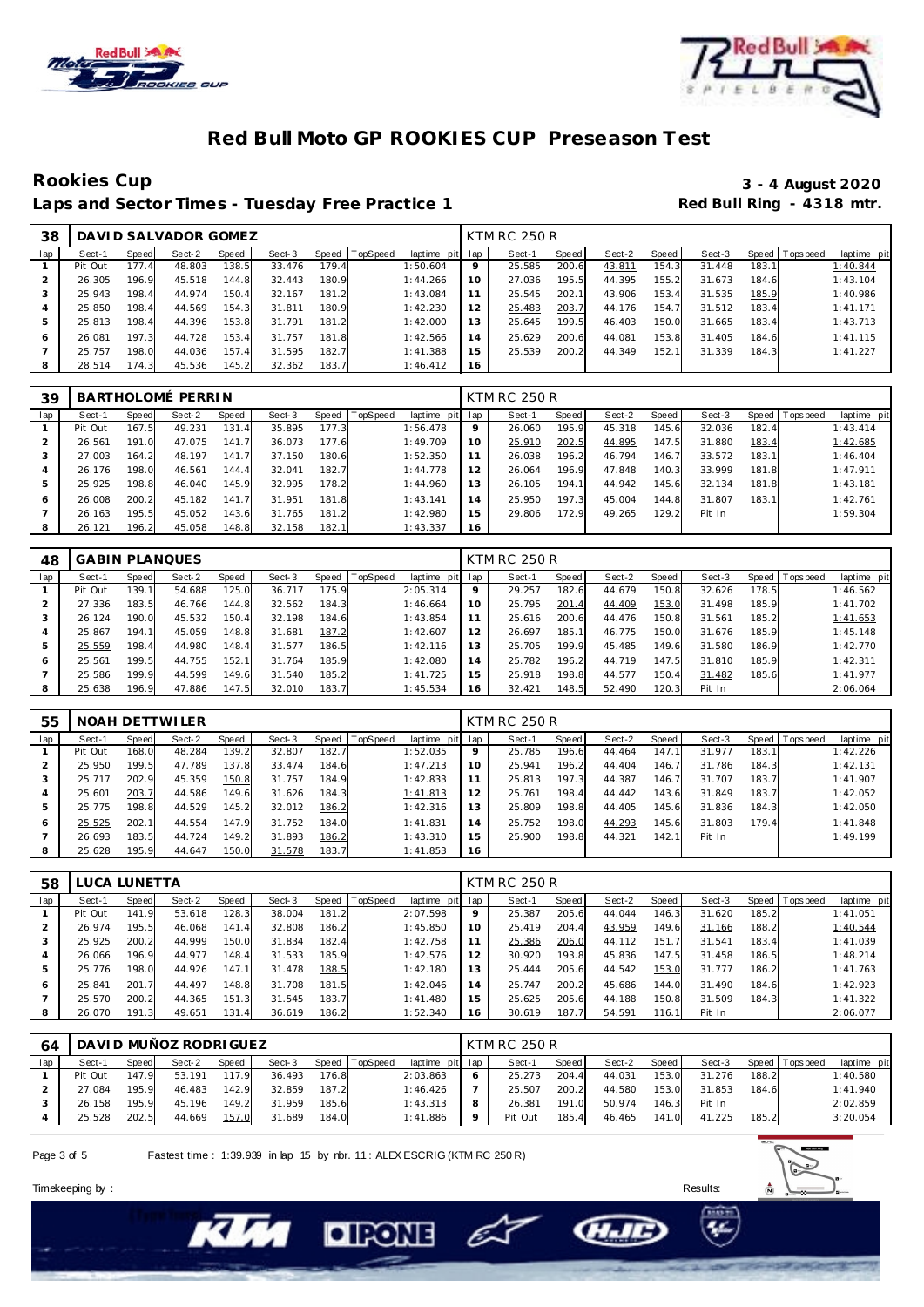



## **Rookies Cup 3 - 4 August 2020** Laps and Sector Times - Tuesday Free Practice 1

| 38  |         |       | DAVI D SALVADOR GOMEZ |       |        |       |          |                 |                | <b>KTM RC 250 R</b> |         |        |       |        |       |                 |             |
|-----|---------|-------|-----------------------|-------|--------|-------|----------|-----------------|----------------|---------------------|---------|--------|-------|--------|-------|-----------------|-------------|
| lap | Sect-1  | Speed | Sect-2                | Speed | Sect-3 | Speed | TopSpeed | laptime pit lap |                | Sect-1              | Speed I | Sect-2 | Speed | Sect-3 |       | Speed Tops peed | laptime pit |
|     | Pit Out | 177.4 | 48.803                | 138.5 | 33.476 | 179.4 |          | 1:50.604        | 9              | 25.585              | 200.6   | 43.811 | 154.3 | 31.448 | 183.7 |                 | 1:40.844    |
|     | 26.305  | 196.9 | 45.518                | 144.8 | 32.443 | 180.9 |          | 1:44.266        | 10             | 27.036              | 195.5   | 44.395 | 155.2 | 31.673 | 184.6 |                 | 1:43.104    |
|     | 25.943  | 198.4 | 44.974                | 150.4 | 32.167 | 181.2 |          | 1:43.084        |                | 25.545              | 202.1   | 43.906 | 153.4 | 31.535 | 185.9 |                 | 1:40.986    |
|     | 25.850  | 198.4 | 44.569                | 154.3 | 31.811 | 180.9 |          | 1:42.230        | 12             | 25.483              | 203.7   | 44.176 | 154.7 | 31.512 | 183.4 |                 | 1:41.171    |
|     | 25.813  | 198.4 | 44.396                | 153.8 | 31.791 | 181.2 |          | 1:42.000        | 1.3            | 25.645              | 199.5   | 46.403 | 150.0 | 31.665 | 183.4 |                 | 1:43.713    |
| 6   | 26.081  | 197.3 | 44.728                | 153.4 | 31.757 | 181.8 |          | 1:42.566        | $\overline{4}$ | 25.629              | 200.6   | 44.081 | 153.8 | 31.405 | 184.6 |                 | 1:41.115    |
|     | 25.757  | 198.0 | 44.036                | 157.4 | 31.595 | 182.7 |          | 1:41.388        | 15             | 25.539              | 200.2   | 44.349 | 152.1 | 31.339 | 184.3 |                 | 1:41.227    |
|     | 28.514  | 174.3 | 45.536                | 145.2 | 32.362 | 183.7 |          | 1:46.412        | 16             |                     |         |        |       |        |       |                 |             |

| 39             |         |       | BARTHOLOMÉ PERRIN |       |        |       |                |                 |    | KTM RC 250 R |       |        |       |        |       |                 |             |
|----------------|---------|-------|-------------------|-------|--------|-------|----------------|-----------------|----|--------------|-------|--------|-------|--------|-------|-----------------|-------------|
| lap            | Sect-1  | Speed | Sect-2            | Speed | Sect-3 |       | Speed TopSpeed | laptime pit lap |    | Sect-1       | Speed | Sect-2 | Speed | Sect-3 |       | Speed Tops peed | laptime pit |
|                | Pit Out | 167.5 | 49.231            | 131.4 | 35.895 | 177.3 |                | 1:56.478        | 9  | 26.060       | 195.9 | 45.318 | 145.6 | 32.036 | 182.4 |                 | 1:43.414    |
|                | 26.561  | 191.0 | 47.075            | 141.7 | 36.073 | 177.6 |                | 1:49.709        | 10 | 25.910       | 202.5 | 44.895 | 147.5 | 31.880 | 183.4 |                 | 1:42.685    |
| 3              | 27.003  | 164.2 | 48.197            | 141.7 | 37.150 | 180.6 |                | 1:52.350        |    | 26.038       | 196.2 | 46.794 | 146.7 | 33.572 | 183.1 |                 | 1:46.404    |
| $\overline{4}$ | 26.176  | 198.0 | 46.561            | 144.4 | 32.041 | 182.7 |                | 1:44.778        | 12 | 26.064       | 196.9 | 47.848 | 140.3 | 33.999 | 181.8 |                 | 1:47.911    |
| 5              | 25.925  | 198.8 | 46.040            | 145.9 | 32.995 | 178.2 |                | 1:44.960        | 13 | 26.105       | 194.1 | 44.942 | 145.6 | 32.134 | 181.8 |                 | 1:43.181    |
| 6              | 26.008  | 200.2 | 45.182            | 141.7 | 31.951 | 181.8 |                | 1:43.141        | 14 | 25.950       | 197.3 | 45.004 | 144.8 | 31.807 | 183.1 |                 | 1:42.761    |
|                | 26.163  | 195.5 | 45.052            | 143.6 | 31.765 | 181.2 |                | 1:42.980        | 15 | 29.806       | 172.9 | 49.265 | 129.2 | Pit In |       |                 | 1:59.304    |
| 8              | 26.121  | 196.2 | 45.058            | 148.8 | 32.158 | 182.1 |                | 1:43.337        | 16 |              |       |        |       |        |       |                 |             |

| 48  | <b>GABIN PLANQUES</b> |       |        |       |        |       |                  |             |     | <b>KTM RC 250 R</b> |       |        |       |        |       |                |             |
|-----|-----------------------|-------|--------|-------|--------|-------|------------------|-------------|-----|---------------------|-------|--------|-------|--------|-------|----------------|-------------|
| lap | Sect-1                | Speed | Sect-2 | Speed | Sect-3 |       | Speed   TopSpeed | laptime pit | lap | Sect-1              | Speed | Sect-2 | Speed | Sect-3 |       | Speed Topspeed | laptime pit |
|     | Pit Out               | 139.1 | 54.688 | 125.0 | 36.717 | 175.9 |                  | 2:05.314    | 9   | 29.257              | 182.6 | 44.679 | 150.8 | 32.626 | 178.5 |                | 1:46.562    |
|     | 27.336                | 183.5 | 46.766 | 144.8 | 32.562 | 184.3 |                  | 1:46.664    | 10  | 25.795              | 201.4 | 44.409 | 153.0 | 31.498 | 185.9 |                | 1:41.702    |
| 3   | 26.124                | 190.0 | 45.532 | 150.4 | 32.198 | 184.6 |                  | 1:43.854    | 11  | 25.616              | 200.6 | 44.476 | 150.8 | 31.561 | 185.2 |                | 1:41.653    |
| 4   | 25.867                | 194.1 | 45.059 | 148.8 | 31.681 | 187.2 |                  | 1:42.607    | 12  | 26.697              | 185.1 | 46.775 | 150.0 | 31.676 | 185.9 |                | 1:45.148    |
| 5   | 25.559                | 198.4 | 44.980 | 148.4 | 31.577 | 186.5 |                  | 1:42.116    | 13  | 25.705              | 199.9 | 45.485 | 149.6 | 31.580 | 186.9 |                | 1:42.770    |
| 6   | 25.561                | 199.5 | 44.755 | 152.1 | 31.764 | 185.9 |                  | 1:42.080    | 14  | 25.782              | 196.2 | 44.719 | 147.5 | 31.810 | 185.9 |                | 1:42.311    |
|     | 25.586                | 199.9 | 44.599 | 149.6 | 31.540 | 185.2 |                  | 1:41.725    | 15  | 25.918              | 198.8 | 44.577 | 150.4 | 31.482 | 185.6 |                | 1:41.977    |
| 8   | 25.638                | 196.9 | 47.886 | 147.5 | 32.010 | 183.7 |                  | 1:45.534    | 16  | 32.421              | 148.5 | 52.490 | 120.3 | Pit In |       |                | 2:06.064    |

| 55  |         |       | NOAH DETTWILER |       |        |       |                |                 |    | KTM RC 250 R |       |        |       |        |       |                |             |
|-----|---------|-------|----------------|-------|--------|-------|----------------|-----------------|----|--------------|-------|--------|-------|--------|-------|----------------|-------------|
| lap | Sect-1  | Speed | Sect-2         | Speed | Sect-3 |       | Speed TopSpeed | laptime pit lap |    | Sect-1       | Speed | Sect-2 | Speed | Sect-3 |       | Speed Topspeed | laptime pit |
|     | Pit Out | 168.0 | 48.284         | 139.2 | 32.807 | 182.7 |                | 1:52.035        | 9  | 25.785       | 196.6 | 44.464 | 147.1 | 31.977 | 183.1 |                | 1:42.226    |
|     | 25.950  | 199.5 | 47.789         | 137.8 | 33.474 | 184.6 |                | 1:47.213        | 10 | 25.941       | 196.2 | 44.404 | 146.7 | 31.786 | 184.3 |                | 1:42.131    |
| 3   | 25.717  | 202.9 | 45.359         | 150.8 | 31.757 | 184.9 |                | 1:42.833        | 11 | 25.813       | 197.3 | 44.387 | 146.7 | 31.707 | 183.7 |                | 1:41.907    |
|     | 25.601  | 203.7 | 44.586         | 149.6 | 31.626 | 184.3 |                | 1:41.813        | 12 | 25.761       | 198.4 | 44.442 | 143.6 | 31.849 | 183.7 |                | 1:42.052    |
| 5   | 25.775  | 198.8 | 44.529         | 145.2 | 32.012 | 186.2 |                | 1:42.316        | 13 | 25.809       | 198.8 | 44.405 | 145.6 | 31.836 | 184.3 |                | 1:42.050    |
| 6   | 25.525  | 202.1 | 44.554         | 147.9 | 31.752 | 184.0 |                | 1:41.831        | 14 | 25.752       | 198.0 | 44.293 | 145.6 | 31.803 | 179.4 |                | 1:41.848    |
|     | 26.693  | 183.5 | 44.724         | 149.2 | 31.893 | 186.2 |                | 1:43.310        | 15 | 25.900       | 198.8 | 44.321 | 142.1 | Pit In |       |                | 1:49.199    |
| 8   | 25.628  | 195.9 | 44.647         | 150.0 | 31.578 | 183.7 |                | 1:41.853        | 16 |              |       |        |       |        |       |                |             |

| 58  |         | LUCA LUNETTA |        |       |        |       |          |                 |         | KTM RC 250 R |       |        |       |        |       |                |             |
|-----|---------|--------------|--------|-------|--------|-------|----------|-----------------|---------|--------------|-------|--------|-------|--------|-------|----------------|-------------|
| lap | Sect-1  | Speed        | Sect-2 | Speed | Sect-3 | Speed | TopSpeed | laptime pit lap |         | Sect-1       | Speed | Sect-2 | Speed | Sect-3 |       | Speed Topspeed | laptime pit |
|     | Pit Out | 141.9        | 53.618 | 128.3 | 38.004 | 181.2 |          | 2:07.598        | $\circ$ | 25.387       | 205.6 | 44.044 | 146.3 | 31.620 | 185.2 |                | 1:41.051    |
|     | 26.974  | 195.5        | 46.068 | 141.4 | 32.808 | 186.2 |          | 1:45.850        | 10      | 25.419       | 204.4 | 43.959 | 149.6 | 31.166 | 188.2 |                | 1:40.544    |
|     | 25.925  | 200.2        | 44.999 | 150.0 | 31.834 | 182.4 |          | 1:42.758        |         | 25.386       | 206.0 | 44.112 | 151.7 | 31.541 | 183.4 |                | 1:41.039    |
| 4   | 26.066  | 196.9        | 44.977 | 148.4 | 31.533 | 185.9 |          | 1:42.576        | 12      | 30.920       | 193.8 | 45.836 | 147.5 | 31.458 | 186.5 |                | 1:48.214    |
| 5   | 25.776  | 198.0        | 44.926 | 147.1 | 31.478 | 188.5 |          | 1:42.180        | 13      | 25.444       | 205.6 | 44.542 | 153.0 | 31.777 | 186.2 |                | 1:41.763    |
| 6   | 25.841  | 201.7        | 44.497 | 148.8 | 31.708 | 181.5 |          | 1:42.046        | 14      | 25.747       | 200.2 | 45.686 | 144.0 | 31.490 | 184.6 |                | 1:42.923    |
|     | 25.570  | 200.2        | 44.365 | 151.3 | 31.545 | 183.7 |          | 1:41.480        | 15      | 25.625       | 205.6 | 44.188 | 150.8 | 31.509 | 184.3 |                | 1:41.322    |
| 8   | 26.070  | 191.3        | 49.651 | 131.4 | 36.619 | 186.2 |          | 1:52.340        | 16      | 30.619       | 187.7 | 54.591 | 116.1 | Pit In |       |                | 2:06.077    |

| 64  |         |       | DAVI D MUÑOZ RODRI GUEZ |       |        |       |                |                 |             | KTM RC 250 R |       |        |       |        |       |                |             |
|-----|---------|-------|-------------------------|-------|--------|-------|----------------|-----------------|-------------|--------------|-------|--------|-------|--------|-------|----------------|-------------|
| lap | Sect-1  | Speed | Sect-2                  | Speed | Sect-3 |       | Speed TopSpeed | laptime pit lap |             | Sect-1       | Speed | Sect-2 | Speed | Sect-3 |       | Speed Topspeed | laptime pit |
|     | Pit Out | 147.9 | 53.191                  | 117.9 | 36.493 | 176.8 |                | 2:03.863        |             | 25.273       | 204.4 | 44.031 | 153.0 | 31.276 | 188.2 |                | 1:40.580    |
|     | 27.084  | 195.9 | 46.483                  | 142.9 | 32.859 | 187.2 |                | 1:46.426        |             | 25.507       | 200.2 | 44.580 | 153.0 | 31.853 | 184.6 |                | 1:41.940    |
|     | 26.158  | 195.9 | 45.196                  | 149.2 | 31.959 | 185.6 |                | 1:43.313        |             | 26.381       | 191.0 | 50.974 | 146.3 | Pit In |       |                | 2:02.859    |
|     | 25.528  | 202.5 | 44.669                  | 157.0 | 31.689 | 184.0 |                | 1:41.886        | $\mathbf Q$ | Pit Out      | 185.4 | 46.465 | 141.0 | 41.225 | 185.2 |                | 3:20.054    |

Ô

**CHAID** 

**DIRONE** 

Page 3 of 5 Fastest time : 1:39.939 in lap 15 by nbr. 11 : ALEX ESCRIG (KTM RC 250 R)

Timekeeping by : Results: Results: Results: Results: Results: Results: Results: Results: Results: Results: Results: Results: Results: Results: Results: Results: Results: Results: Results: Results: Results: Results: Results

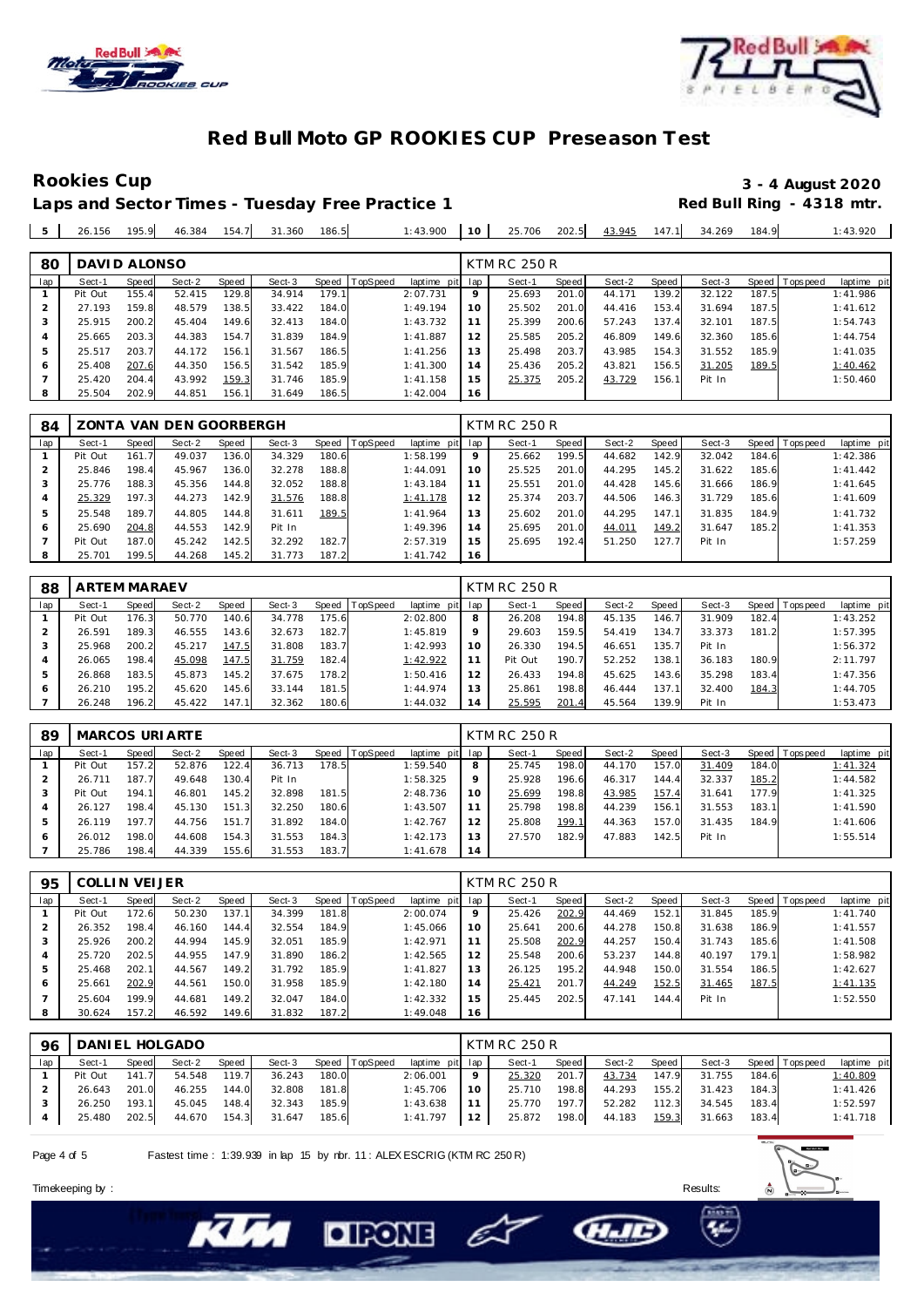



# Laps and Sector Times - Tuesday Free Practice 1

# **Rookies Cup 3 - 4 August 2020**

| $25.706$ 202.5 43.945 147.1 34.269<br>$1:43.900$ 10<br>26.156 195.9 46.384 154.7 31.360<br>186.5<br>5 <sub>1</sub> |  | : 43.920<br>184.9 |
|--------------------------------------------------------------------------------------------------------------------|--|-------------------|
|--------------------------------------------------------------------------------------------------------------------|--|-------------------|

| 80  | DAVID ALONSO |       |        |       |        |       |                |                 |         | <b>KTM RC 250 R</b> |       |        |       |        |       |                 |             |
|-----|--------------|-------|--------|-------|--------|-------|----------------|-----------------|---------|---------------------|-------|--------|-------|--------|-------|-----------------|-------------|
| lap | Sect-1       | Speed | Sect-2 | Speed | Sect-3 |       | Speed TopSpeed | laptime pit lap |         | Sect-1              | Speed | Sect-2 | Speed | Sect-3 |       | Speed Tops peed | laptime pit |
|     | Pit Out      | 155.4 | 52.415 | 129.8 | 34.914 | 179.1 |                | 2:07.731        | $\circ$ | 25.693              | 201.0 | 44.171 | 139.2 | 32.122 | 187.5 |                 | 1:41.986    |
|     | 27.193       | 159.8 | 48.579 | 138.5 | 33.422 | 184.0 |                | 1:49.194        | 10      | 25.502              | 201.0 | 44.416 | 153.4 | 31.694 | 187.5 |                 | 1:41.612    |
| 3   | 25.915       | 200.2 | 45.404 | 149.6 | 32.413 | 184.0 |                | 1:43.732        |         | 25.399              | 200.6 | 57.243 | 137.4 | 32.101 | 187.5 |                 | 1:54.743    |
| 4   | 25.665       | 203.3 | 44.383 | 154.7 | 31.839 | 184.9 |                | 1:41.887        | 12      | 25.585              | 205.2 | 46.809 | 149.6 | 32.360 | 185.6 |                 | 1:44.754    |
| 5   | 25.517       | 203.7 | 44.172 | 156.1 | 31.567 | 186.5 |                | 1:41.256        | 13      | 25.498              | 203.7 | 43.985 | 154.3 | 31.552 | 185.9 |                 | 1:41.035    |
| 6   | 25.408       | 207.6 | 44.350 | 156.5 | 31.542 | 185.9 |                | 1:41.300        | 14      | 25.436              | 205.2 | 43.821 | 156.5 | 31.205 | 189.5 |                 | 1:40.462    |
|     | 25.420       | 204.4 | 43.992 | 159.3 | 31.746 | 185.9 |                | 1:41.158        | 15      | 25.375              | 205.2 | 43.729 | 156.1 | Pit In |       |                 | 1:50.460    |
| 8   | 25.504       | 202.9 | 44.851 | 156.1 | 31.649 | 186.5 |                | 1:42.004        | 16      |                     |       |        |       |        |       |                 |             |

| 84  |         |       | ZONTA VAN DEN GOORBERGH |       |        |       |                |                 |    | <b>KTM RC 250 R</b> |       |        |       |        |       |                 |             |
|-----|---------|-------|-------------------------|-------|--------|-------|----------------|-----------------|----|---------------------|-------|--------|-------|--------|-------|-----------------|-------------|
| lap | Sect-1  | Speed | Sect-2                  | Speed | Sect-3 |       | Speed TopSpeed | laptime pit lap |    | Sect-1              | Speed | Sect-2 | Speed | Sect-3 |       | Speed Tops peed | laptime pit |
|     | Pit Out | 161.7 | 49.037                  | 136.0 | 34.329 | 180.6 |                | 1:58.199        | 9  | 25.662              | 199.5 | 44.682 | 142.9 | 32.042 | 184.6 |                 | 1:42.386    |
|     | 25.846  | 198.4 | 45.967                  | 136.0 | 32.278 | 188.8 |                | 1:44.091        | 10 | 25.525              | 201.0 | 44.295 | 145.2 | 31.622 | 185.6 |                 | 1: 41.442   |
|     | 25.776  | 188.3 | 45.356                  | 144.8 | 32.052 | 188.8 |                | 1:43.184        | 11 | 25.551              | 201.0 | 44.428 | 145.6 | 31.666 | 186.9 |                 | 1:41.645    |
|     | 25.329  | 197.3 | 44.273                  | 142.9 | 31.576 | 188.8 |                | 1:41.178        | 12 | 25.374              | 203.7 | 44.506 | 146.3 | 31.729 | 185.6 |                 | 1:41.609    |
| 5   | 25.548  | 189.7 | 44.805                  | 144.8 | 31.611 | 189.5 |                | 1:41.964        | 13 | 25.602              | 201.0 | 44.295 | 147.1 | 31.835 | 184.9 |                 | 1:41.732    |
| 6   | 25.690  | 204.8 | 44.553                  | 142.9 | Pit In |       |                | 1:49.396        | 14 | 25.695              | 201.0 | 44.011 | 149.2 | 31.647 | 185.2 |                 | 1:41.353    |
|     | Pit Out | 187.0 | 45.242                  | 142.5 | 32.292 | 182.7 |                | 2:57.319        | 15 | 25.695              | 192.4 | 51.250 | 127.  | Pit In |       |                 | 1:57.259    |
| 8   | 25.701  | 199.5 | 44.268                  | 145.2 | 31.773 | 187.2 |                | 1:41.742        | 16 |                     |       |        |       |        |       |                 |             |

| 88  | <b>ARTEM MARAEV</b> |        |        |       |        |       |                |             |                | <b>KTM RC 250 R</b> |       |        |       |        |       |                |             |
|-----|---------------------|--------|--------|-------|--------|-------|----------------|-------------|----------------|---------------------|-------|--------|-------|--------|-------|----------------|-------------|
| lap | Sect-1              | Speed  | Sect-2 | Speed | Sect-3 |       | Speed TopSpeed | laptime pit | lap            | Sect-1              | Speed | Sect-2 | Speed | Sect-3 |       | Speed Topspeed | laptime pit |
|     | Pit Out             | 176.3  | 50.770 | 140.6 | 34.778 | 175.6 |                | 2:02.800    | 8              | 26.208              | 194.8 | 45.135 | 146.7 | 31.909 | 182.4 |                | 1:43.252    |
|     | 26.591              | 189.3  | 46.555 | 143.6 | 32.673 | 182.7 |                | 1:45.819    |                | 29.603              | 159.5 | 54.419 | 134   | 33.373 | 181.2 |                | 1:57.395    |
|     | 25.968              | 200.2  | 45.217 | 147.5 | 31.808 | 183.7 |                | 1:42.993    | 10             | 26.330              | 194.5 | 46.651 | 35.7  | Pit In |       |                | 1:56.372    |
| 4   | 26.065              | 198.4  | 45.098 | 147.5 | 31.759 | 182.4 |                | 1:42.922    |                | Pit Out             | 190.7 | 52.252 | 138.1 | 36.183 | 180.9 |                | 2:11.797    |
| 5   | 26.868              | 183.5  | 45.873 | 145.2 | 37.675 | 78.2  |                | 1:50.416    | $\overline{2}$ | 26.433              | 194.8 | 45.625 | 43.6  | 35.298 | 183.4 |                | 1:47.356    |
| O   | 26.210              | 195.2. | 45.620 | 145.6 | 33.144 | 181.5 |                | 1:44.974    | 3              | 25.861              | 198.8 | 46.444 | 37.1  | 32.400 | 184.3 |                | 1:44.705    |
|     | 26.248              | 196.2  | 45.422 | 147.1 | 32.362 | 180.6 |                | 1:44.032    | 4              | 25.595              | 201.4 | 45.564 | 39.9  | Pit In |       |                | 1:53.473    |

| 89           |         |       | <b>MARCOS URIARTE</b> |       |        |       |                |                 |         | <b>KTM RC 250 R</b> |       |        |       |        |       |                 |             |
|--------------|---------|-------|-----------------------|-------|--------|-------|----------------|-----------------|---------|---------------------|-------|--------|-------|--------|-------|-----------------|-------------|
| lap          | Sect-1  | Speed | Sect-2                | Speed | Sect-3 |       | Speed TopSpeed | laptime pit lap |         | Sect-1              | Speed | Sect-2 | Speed | Sect-3 |       | Speed Tops peed | laptime pit |
|              | Pit Out | 157.2 | 52.876                | 122.4 | 36.713 | 178.5 |                | 1:59.540        | 8       | 25.745              | 198.0 | 44.170 | 157.0 | 31.409 | 184.0 |                 | 1:41.324    |
|              | 26.711  | 187.7 | 49.648                | 130.4 | Pit In |       |                | 1:58.325        | $\circ$ | 25.928              | 196.6 | 46.317 | 144.4 | 32.337 | 185.2 |                 | 1:44.582    |
|              | Pit Out | 194.1 | 46.801                | 145.2 | 32.898 | 181.5 |                | 2:48.736        | 10      | 25.699              | 198.8 | 43.985 | 157.4 | 31.641 | 177.9 |                 | 1:41.325    |
|              | 26.127  | 198.4 | 45.130                | 151.3 | 32.250 | 180.6 |                | 1:43.507        |         | 25.798              | 198.8 | 44.239 | 156.1 | 31.553 | 183.1 |                 | 1:41.590    |
|              | 26.119  | 197.7 | 44.756                | 151.7 | 31.892 | 184.0 |                | 1:42.767        | 12      | 25.808              | 199.1 | 44.363 | 157.0 | 31.435 | 184.9 |                 | 1:41.606    |
| <sup>6</sup> | 26.012  | 198.0 | 44.608                | 154.3 | 31.553 | 184.3 |                | 1:42.173        | 3       | 27.570              | 182.9 | 47.883 | 142.5 | Pit In |       |                 | 1:55.514    |
|              | 25.786  | 198.4 | 44.339                | 155.6 | 31.553 | 183.7 |                | 1:41.678        | 14      |                     |       |        |       |        |       |                 |             |

| 95  | <b>COLLIN VEIJER</b> |       |        |       |        |       |          |                 |    | <b>KTM RC 250 R</b> |       |        |       |        |       |                |             |
|-----|----------------------|-------|--------|-------|--------|-------|----------|-----------------|----|---------------------|-------|--------|-------|--------|-------|----------------|-------------|
| lap | Sect-1               | Speed | Sect-2 | Speed | Sect-3 | Speed | TopSpeed | laptime pit lap |    | Sect-1              | Speed | Sect-2 | Speed | Sect-3 |       | Speed Topspeed | laptime pit |
|     | Pit Out              | 172.6 | 50.230 | 137.1 | 34.399 | 181.8 |          | 2:00.074        | 9  | 25.426              | 202.9 | 44.469 | 152.1 | 31.845 | 185.9 |                | 1:41.740    |
|     | 26.352               | 198.4 | 46.160 | 144.4 | 32.554 | 184.9 |          | 1:45.066        | 10 | 25.641              | 200.6 | 44.278 | 150.8 | 31.638 | 186.9 |                | 1:41.557    |
|     | 25.926               | 200.2 | 44.994 | 145.9 | 32.051 | 185.9 |          | 1:42.971        | 11 | 25.508              | 202.9 | 44.257 | 150.4 | 31.743 | 185.6 |                | 1:41.508    |
|     | 25.720               | 202.5 | 44.955 | 147.9 | 31.890 | 186.2 |          | 1:42.565        | 12 | 25.548              | 200.6 | 53.237 | 144.8 | 40.197 | 179.1 |                | 1:58.982    |
|     | 25.468               | 202.1 | 44.567 | 149.2 | 31.792 | 185.9 |          | 1:41.827        | 13 | 26.125              | 195.2 | 44.948 | 150.0 | 31.554 | 186.5 |                | 1:42.627    |
| 6   | 25.661               | 202.9 | 44.561 | 150.0 | 31.958 | 185.9 |          | 1:42.180        | 14 | 25.421              | 201.7 | 44.249 | 152.5 | 31.465 | 187.5 |                | 1:41.135    |
|     | 25.604               | 199.9 | 44.681 | 149.2 | 32.047 | 184.0 |          | 1:42.332        | 15 | 25.445              | 202.5 | 47.141 | 144.4 | Pit In |       |                | 1:52.550    |
| 8   | 30.624               | 157.2 | 46.592 | 149.6 | 31.832 | 187.2 |          | 1:49.048        | 16 |                     |       |        |       |        |       |                |             |

| 96  | DANIEL HOLGADO |       |        |       |        |       |                |                 | KTM RC 250 R |        |       |        |       |        |       |                   |             |  |
|-----|----------------|-------|--------|-------|--------|-------|----------------|-----------------|--------------|--------|-------|--------|-------|--------|-------|-------------------|-------------|--|
| lap | Sect-1         | Speed | Sect-2 | Speed | Sect-3 |       | Speed TopSpeed | laptime pit lap |              | Sect-1 | Speed | Sect-2 | Speed | Sect-3 |       | Speed   Tops peed | laptime pit |  |
|     | Pit Out        | 141.7 | 54.548 | 119.7 | 36.243 | 180.0 |                | 2:06.001        |              | 25.320 | 201.7 | 43.734 | 147.9 | 31.755 | 184.6 |                   | 1:40.809    |  |
|     | 26.643         | 201.0 | 46.255 | 144.0 | 32.808 | 181.8 |                | 1:45.706        | 10           | 25.710 | 198.8 | 44.293 | 155.2 | 31.423 | 184.3 |                   | 1:41.426    |  |
|     | 26.250         | 193.1 | 45.045 | 148.4 | 32.343 | 185.9 |                | 1:43.638        |              | 25.770 | 197.7 | 52.282 | 112.3 | 34.545 | 183.4 |                   | 1:52.597    |  |
|     | 25.480         | 202.5 | 44.670 | 154.3 | 31.647 | 185.6 |                | 1:41.797        | 12           | 25.872 | 198.0 | 44.183 | 159.3 | 31.663 | 183.4 |                   | 1:41.718    |  |

– E

**DIRONE** 

Page 4 of 5 Fastest time : 1:39.939 in lap 15 by nbr. 11 : ALEX ESCRIG (KTM RC 250 R)

Timekeeping by : Results: Results: Results: Results: Results: Results: Results: Results: Results: Results: Results: Results: Results: Results: Results: Results: Results: Results: Results: Results: Results: Results: Results